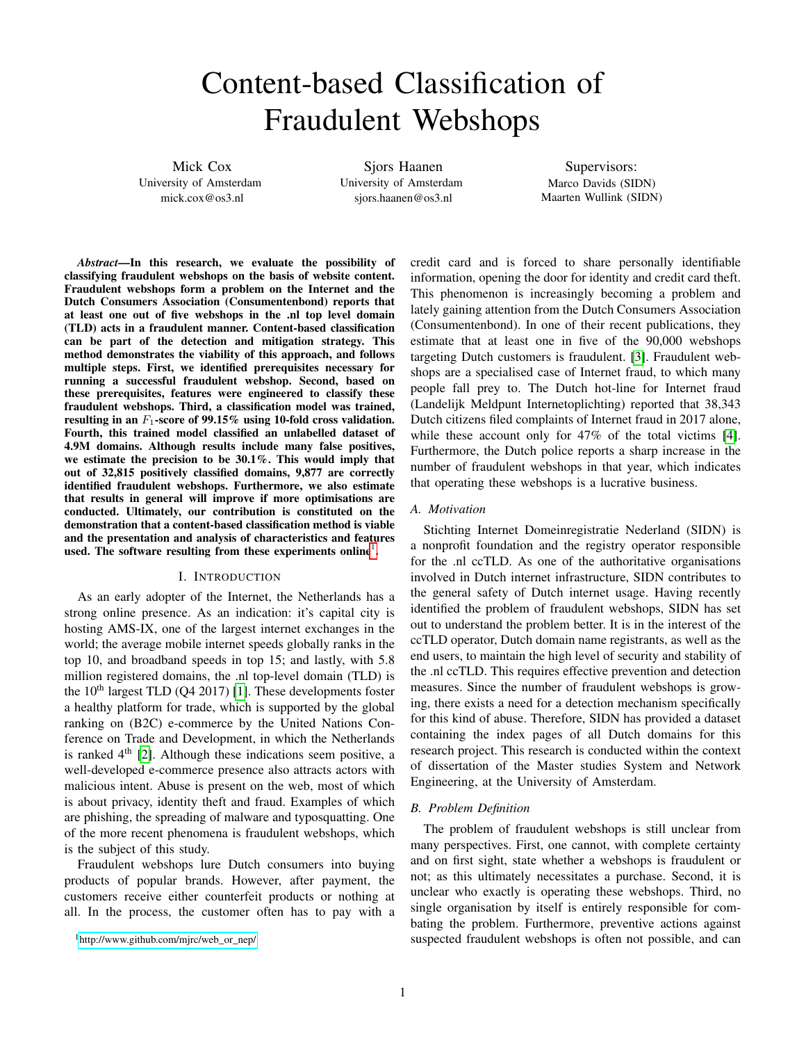# Content-based Classification of Fraudulent Webshops

Mick Cox University of Amsterdam mick.cox@os3.nl

Sjors Haanen University of Amsterdam sjors.haanen@os3.nl

Supervisors: Marco Davids (SIDN) Maarten Wullink (SIDN)

*Abstract*—In this research, we evaluate the possibility of classifying fraudulent webshops on the basis of website content. Fraudulent webshops form a problem on the Internet and the Dutch Consumers Association (Consumentenbond) reports that at least one out of five webshops in the .nl top level domain (TLD) acts in a fraudulent manner. Content-based classification can be part of the detection and mitigation strategy. This method demonstrates the viability of this approach, and follows multiple steps. First, we identified prerequisites necessary for running a successful fraudulent webshop. Second, based on these prerequisites, features were engineered to classify these fraudulent webshops. Third, a classification model was trained, resulting in an  $F_1$ -score of 99.15% using 10-fold cross validation. Fourth, this trained model classified an unlabelled dataset of 4.9M domains. Although results include many false positives, we estimate the precision to be 30.1%. This would imply that out of 32,815 positively classified domains, 9,877 are correctly identified fraudulent webshops. Furthermore, we also estimate that results in general will improve if more optimisations are conducted. Ultimately, our contribution is constituted on the demonstration that a content-based classification method is viable and the presentation and analysis of characteristics and features used. The software resulting from these experiments online<sup>[1](#page-0-0)</sup>.

## I. INTRODUCTION

<span id="page-0-1"></span>As an early adopter of the Internet, the Netherlands has a strong online presence. As an indication: it's capital city is hosting AMS-IX, one of the largest internet exchanges in the world; the average mobile internet speeds globally ranks in the top 10, and broadband speeds in top 15; and lastly, with 5.8 million registered domains, the .nl top-level domain (TLD) is the  $10<sup>th</sup>$  largest TLD (Q4 2017) [\[1\]](#page-11-0). These developments foster a healthy platform for trade, which is supported by the global ranking on (B2C) e-commerce by the United Nations Conference on Trade and Development, in which the Netherlands is ranked  $4<sup>th</sup>$  [\[2\]](#page-11-1). Although these indications seem positive, a well-developed e-commerce presence also attracts actors with malicious intent. Abuse is present on the web, most of which is about privacy, identity theft and fraud. Examples of which are phishing, the spreading of malware and typosquatting. One of the more recent phenomena is fraudulent webshops, which is the subject of this study.

Fraudulent webshops lure Dutch consumers into buying products of popular brands. However, after payment, the customers receive either counterfeit products or nothing at all. In the process, the customer often has to pay with a

<span id="page-0-0"></span><sup>1</sup>[http://www.github.com/mjrc/web\\_or\\_nep/](http://www.github.com/mjrc/web_or_nep/)

credit card and is forced to share personally identifiable information, opening the door for identity and credit card theft. This phenomenon is increasingly becoming a problem and lately gaining attention from the Dutch Consumers Association (Consumentenbond). In one of their recent publications, they estimate that at least one in five of the 90,000 webshops targeting Dutch customers is fraudulent. [\[3\]](#page-11-2). Fraudulent webshops are a specialised case of Internet fraud, to which many people fall prey to. The Dutch hot-line for Internet fraud (Landelijk Meldpunt Internetoplichting) reported that 38,343 Dutch citizens filed complaints of Internet fraud in 2017 alone, while these account only for 47% of the total victims [\[4\]](#page-11-3). Furthermore, the Dutch police reports a sharp increase in the number of fraudulent webshops in that year, which indicates that operating these webshops is a lucrative business.

## *A. Motivation*

Stichting Internet Domeinregistratie Nederland (SIDN) is a nonprofit foundation and the registry operator responsible for the .nl ccTLD. As one of the authoritative organisations involved in Dutch internet infrastructure, SIDN contributes to the general safety of Dutch internet usage. Having recently identified the problem of fraudulent webshops, SIDN has set out to understand the problem better. It is in the interest of the ccTLD operator, Dutch domain name registrants, as well as the end users, to maintain the high level of security and stability of the .nl ccTLD. This requires effective prevention and detection measures. Since the number of fraudulent webshops is growing, there exists a need for a detection mechanism specifically for this kind of abuse. Therefore, SIDN has provided a dataset containing the index pages of all Dutch domains for this research project. This research is conducted within the context of dissertation of the Master studies System and Network Engineering, at the University of Amsterdam.

# *B. Problem Definition*

The problem of fraudulent webshops is still unclear from many perspectives. First, one cannot, with complete certainty and on first sight, state whether a webshops is fraudulent or not; as this ultimately necessitates a purchase. Second, it is unclear who exactly is operating these webshops. Third, no single organisation by itself is entirely responsible for combating the problem. Furthermore, preventive actions against suspected fraudulent webshops is often not possible, and can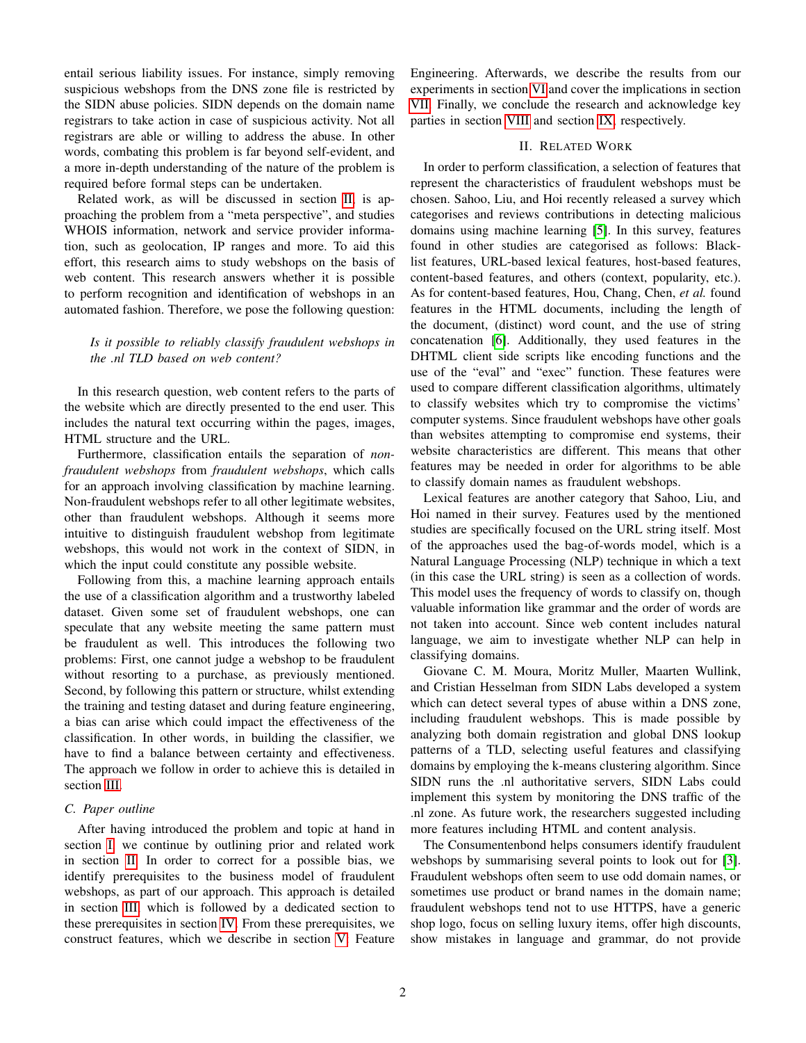entail serious liability issues. For instance, simply removing suspicious webshops from the DNS zone file is restricted by the SIDN abuse policies. SIDN depends on the domain name registrars to take action in case of suspicious activity. Not all registrars are able or willing to address the abuse. In other words, combating this problem is far beyond self-evident, and a more in-depth understanding of the nature of the problem is required before formal steps can be undertaken.

Related work, as will be discussed in section [II,](#page-1-0) is approaching the problem from a "meta perspective", and studies WHOIS information, network and service provider information, such as geolocation, IP ranges and more. To aid this effort, this research aims to study webshops on the basis of web content. This research answers whether it is possible to perform recognition and identification of webshops in an automated fashion. Therefore, we pose the following question:

# *Is it possible to reliably classify fraudulent webshops in the .nl TLD based on web content?*

In this research question, web content refers to the parts of the website which are directly presented to the end user. This includes the natural text occurring within the pages, images, HTML structure and the URL.

Furthermore, classification entails the separation of *nonfraudulent webshops* from *fraudulent webshops*, which calls for an approach involving classification by machine learning. Non-fraudulent webshops refer to all other legitimate websites, other than fraudulent webshops. Although it seems more intuitive to distinguish fraudulent webshop from legitimate webshops, this would not work in the context of SIDN, in which the input could constitute any possible website.

Following from this, a machine learning approach entails the use of a classification algorithm and a trustworthy labeled dataset. Given some set of fraudulent webshops, one can speculate that any website meeting the same pattern must be fraudulent as well. This introduces the following two problems: First, one cannot judge a webshop to be fraudulent without resorting to a purchase, as previously mentioned. Second, by following this pattern or structure, whilst extending the training and testing dataset and during feature engineering, a bias can arise which could impact the effectiveness of the classification. In other words, in building the classifier, we have to find a balance between certainty and effectiveness. The approach we follow in order to achieve this is detailed in section [III.](#page-2-0)

# *C. Paper outline*

After having introduced the problem and topic at hand in section [I,](#page-0-1) we continue by outlining prior and related work in section [II.](#page-1-0) In order to correct for a possible bias, we identify prerequisites to the business model of fraudulent webshops, as part of our approach. This approach is detailed in section [III,](#page-2-0) which is followed by a dedicated section to these prerequisites in section [IV.](#page-3-0) From these prerequisites, we construct features, which we describe in section [V:](#page-5-0) Feature

Engineering. Afterwards, we describe the results from our experiments in section [VI](#page-9-0) and cover the implications in section [VII.](#page-10-0) Finally, we conclude the research and acknowledge key parties in section [VIII](#page-11-4) and section [IX,](#page-11-5) respectively.

## II. RELATED WORK

<span id="page-1-0"></span>In order to perform classification, a selection of features that represent the characteristics of fraudulent webshops must be chosen. Sahoo, Liu, and Hoi recently released a survey which categorises and reviews contributions in detecting malicious domains using machine learning [\[5\]](#page-11-6). In this survey, features found in other studies are categorised as follows: Blacklist features, URL-based lexical features, host-based features, content-based features, and others (context, popularity, etc.). As for content-based features, Hou, Chang, Chen, *et al.* found features in the HTML documents, including the length of the document, (distinct) word count, and the use of string concatenation [\[6\]](#page-11-7). Additionally, they used features in the DHTML client side scripts like encoding functions and the use of the "eval" and "exec" function. These features were used to compare different classification algorithms, ultimately to classify websites which try to compromise the victims' computer systems. Since fraudulent webshops have other goals than websites attempting to compromise end systems, their website characteristics are different. This means that other features may be needed in order for algorithms to be able to classify domain names as fraudulent webshops.

Lexical features are another category that Sahoo, Liu, and Hoi named in their survey. Features used by the mentioned studies are specifically focused on the URL string itself. Most of the approaches used the bag-of-words model, which is a Natural Language Processing (NLP) technique in which a text (in this case the URL string) is seen as a collection of words. This model uses the frequency of words to classify on, though valuable information like grammar and the order of words are not taken into account. Since web content includes natural language, we aim to investigate whether NLP can help in classifying domains.

Giovane C. M. Moura, Moritz Muller, Maarten Wullink, and Cristian Hesselman from SIDN Labs developed a system which can detect several types of abuse within a DNS zone, including fraudulent webshops. This is made possible by analyzing both domain registration and global DNS lookup patterns of a TLD, selecting useful features and classifying domains by employing the k-means clustering algorithm. Since SIDN runs the .nl authoritative servers, SIDN Labs could implement this system by monitoring the DNS traffic of the .nl zone. As future work, the researchers suggested including more features including HTML and content analysis.

The Consumentenbond helps consumers identify fraudulent webshops by summarising several points to look out for [\[3\]](#page-11-2). Fraudulent webshops often seem to use odd domain names, or sometimes use product or brand names in the domain name; fraudulent webshops tend not to use HTTPS, have a generic shop logo, focus on selling luxury items, offer high discounts, show mistakes in language and grammar, do not provide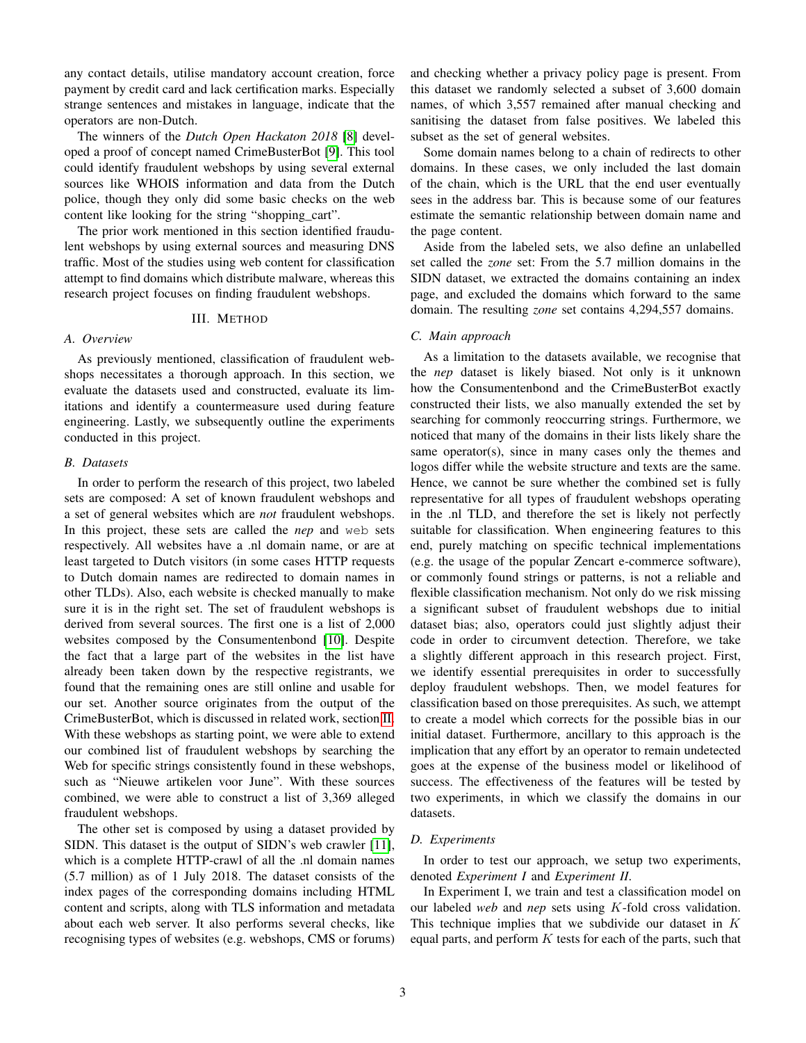any contact details, utilise mandatory account creation, force payment by credit card and lack certification marks. Especially strange sentences and mistakes in language, indicate that the operators are non-Dutch.

The winners of the *Dutch Open Hackaton 2018* [\[8\]](#page-11-8) developed a proof of concept named CrimeBusterBot [\[9\]](#page-11-9). This tool could identify fraudulent webshops by using several external sources like WHOIS information and data from the Dutch police, though they only did some basic checks on the web content like looking for the string "shopping\_cart".

The prior work mentioned in this section identified fraudulent webshops by using external sources and measuring DNS traffic. Most of the studies using web content for classification attempt to find domains which distribute malware, whereas this research project focuses on finding fraudulent webshops.

# III. METHOD

# <span id="page-2-0"></span>*A. Overview*

As previously mentioned, classification of fraudulent webshops necessitates a thorough approach. In this section, we evaluate the datasets used and constructed, evaluate its limitations and identify a countermeasure used during feature engineering. Lastly, we subsequently outline the experiments conducted in this project.

# <span id="page-2-1"></span>*B. Datasets*

In order to perform the research of this project, two labeled sets are composed: A set of known fraudulent webshops and a set of general websites which are *not* fraudulent webshops. In this project, these sets are called the *nep* and web sets respectively. All websites have a .nl domain name, or are at least targeted to Dutch visitors (in some cases HTTP requests to Dutch domain names are redirected to domain names in other TLDs). Also, each website is checked manually to make sure it is in the right set. The set of fraudulent webshops is derived from several sources. The first one is a list of 2,000 websites composed by the Consumentenbond [\[10\]](#page-11-10). Despite the fact that a large part of the websites in the list have already been taken down by the respective registrants, we found that the remaining ones are still online and usable for our set. Another source originates from the output of the CrimeBusterBot, which is discussed in related work, section [II.](#page-1-0) With these webshops as starting point, we were able to extend our combined list of fraudulent webshops by searching the Web for specific strings consistently found in these webshops, such as "Nieuwe artikelen voor June". With these sources combined, we were able to construct a list of 3,369 alleged fraudulent webshops.

The other set is composed by using a dataset provided by SIDN. This dataset is the output of SIDN's web crawler [\[11\]](#page-11-11), which is a complete HTTP-crawl of all the .nl domain names (5.7 million) as of 1 July 2018. The dataset consists of the index pages of the corresponding domains including HTML content and scripts, along with TLS information and metadata about each web server. It also performs several checks, like recognising types of websites (e.g. webshops, CMS or forums) and checking whether a privacy policy page is present. From this dataset we randomly selected a subset of 3,600 domain names, of which 3,557 remained after manual checking and sanitising the dataset from false positives. We labeled this subset as the set of general websites.

Some domain names belong to a chain of redirects to other domains. In these cases, we only included the last domain of the chain, which is the URL that the end user eventually sees in the address bar. This is because some of our features estimate the semantic relationship between domain name and the page content.

Aside from the labeled sets, we also define an unlabelled set called the *zone* set: From the 5.7 million domains in the SIDN dataset, we extracted the domains containing an index page, and excluded the domains which forward to the same domain. The resulting *zone* set contains 4,294,557 domains.

## *C. Main approach*

As a limitation to the datasets available, we recognise that the *nep* dataset is likely biased. Not only is it unknown how the Consumentenbond and the CrimeBusterBot exactly constructed their lists, we also manually extended the set by searching for commonly reoccurring strings. Furthermore, we noticed that many of the domains in their lists likely share the same operator(s), since in many cases only the themes and logos differ while the website structure and texts are the same. Hence, we cannot be sure whether the combined set is fully representative for all types of fraudulent webshops operating in the .nl TLD, and therefore the set is likely not perfectly suitable for classification. When engineering features to this end, purely matching on specific technical implementations (e.g. the usage of the popular Zencart e-commerce software), or commonly found strings or patterns, is not a reliable and flexible classification mechanism. Not only do we risk missing a significant subset of fraudulent webshops due to initial dataset bias; also, operators could just slightly adjust their code in order to circumvent detection. Therefore, we take a slightly different approach in this research project. First, we identify essential prerequisites in order to successfully deploy fraudulent webshops. Then, we model features for classification based on those prerequisites. As such, we attempt to create a model which corrects for the possible bias in our initial dataset. Furthermore, ancillary to this approach is the implication that any effort by an operator to remain undetected goes at the expense of the business model or likelihood of success. The effectiveness of the features will be tested by two experiments, in which we classify the domains in our datasets.

# *D. Experiments*

In order to test our approach, we setup two experiments, denoted *Experiment I* and *Experiment II*.

In Experiment I, we train and test a classification model on our labeled *web* and *nep* sets using K-fold cross validation. This technique implies that we subdivide our dataset in K equal parts, and perform  $K$  tests for each of the parts, such that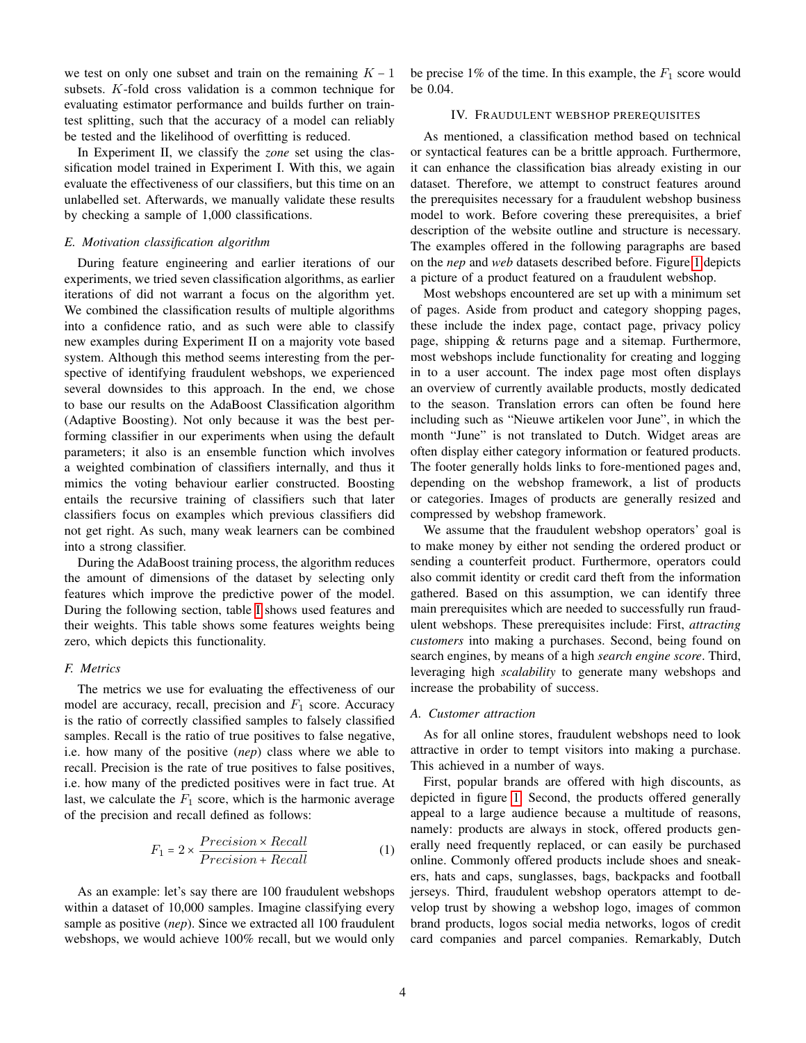we test on only one subset and train on the remaining  $K - 1$ subsets. K-fold cross validation is a common technique for evaluating estimator performance and builds further on traintest splitting, such that the accuracy of a model can reliably be tested and the likelihood of overfitting is reduced.

In Experiment II, we classify the *zone* set using the classification model trained in Experiment I. With this, we again evaluate the effectiveness of our classifiers, but this time on an unlabelled set. Afterwards, we manually validate these results by checking a sample of 1,000 classifications.

## *E. Motivation classification algorithm*

During feature engineering and earlier iterations of our experiments, we tried seven classification algorithms, as earlier iterations of did not warrant a focus on the algorithm yet. We combined the classification results of multiple algorithms into a confidence ratio, and as such were able to classify new examples during Experiment II on a majority vote based system. Although this method seems interesting from the perspective of identifying fraudulent webshops, we experienced several downsides to this approach. In the end, we chose to base our results on the AdaBoost Classification algorithm (Adaptive Boosting). Not only because it was the best performing classifier in our experiments when using the default parameters; it also is an ensemble function which involves a weighted combination of classifiers internally, and thus it mimics the voting behaviour earlier constructed. Boosting entails the recursive training of classifiers such that later classifiers focus on examples which previous classifiers did not get right. As such, many weak learners can be combined into a strong classifier.

During the AdaBoost training process, the algorithm reduces the amount of dimensions of the dataset by selecting only features which improve the predictive power of the model. During the following section, table [I](#page-5-1) shows used features and their weights. This table shows some features weights being zero, which depicts this functionality.

# *F. Metrics*

The metrics we use for evaluating the effectiveness of our model are accuracy, recall, precision and  $F_1$  score. Accuracy is the ratio of correctly classified samples to falsely classified samples. Recall is the ratio of true positives to false negative, i.e. how many of the positive (*nep*) class where we able to recall. Precision is the rate of true positives to false positives, i.e. how many of the predicted positives were in fact true. At last, we calculate the  $F_1$  score, which is the harmonic average of the precision and recall defined as follows:

$$
F_1 = 2 \times \frac{Precision \times Recall}{Precision + Recall}
$$
 (1)

As an example: let's say there are 100 fraudulent webshops within a dataset of 10,000 samples. Imagine classifying every sample as positive (*nep*). Since we extracted all 100 fraudulent webshops, we would achieve 100% recall, but we would only

be precise 1% of the time. In this example, the  $F_1$  score would be 0.04.

# IV. FRAUDULENT WEBSHOP PREREQUISITES

<span id="page-3-0"></span>As mentioned, a classification method based on technical or syntactical features can be a brittle approach. Furthermore, it can enhance the classification bias already existing in our dataset. Therefore, we attempt to construct features around the prerequisites necessary for a fraudulent webshop business model to work. Before covering these prerequisites, a brief description of the website outline and structure is necessary. The examples offered in the following paragraphs are based on the *nep* and *web* datasets described before. Figure [1](#page-4-0) depicts a picture of a product featured on a fraudulent webshop.

Most webshops encountered are set up with a minimum set of pages. Aside from product and category shopping pages, these include the index page, contact page, privacy policy page, shipping & returns page and a sitemap. Furthermore, most webshops include functionality for creating and logging in to a user account. The index page most often displays an overview of currently available products, mostly dedicated to the season. Translation errors can often be found here including such as "Nieuwe artikelen voor June", in which the month "June" is not translated to Dutch. Widget areas are often display either category information or featured products. The footer generally holds links to fore-mentioned pages and, depending on the webshop framework, a list of products or categories. Images of products are generally resized and compressed by webshop framework.

We assume that the fraudulent webshop operators' goal is to make money by either not sending the ordered product or sending a counterfeit product. Furthermore, operators could also commit identity or credit card theft from the information gathered. Based on this assumption, we can identify three main prerequisites which are needed to successfully run fraudulent webshops. These prerequisites include: First, *attracting customers* into making a purchases. Second, being found on search engines, by means of a high *search engine score*. Third, leveraging high *scalability* to generate many webshops and increase the probability of success.

## *A. Customer attraction*

As for all online stores, fraudulent webshops need to look attractive in order to tempt visitors into making a purchase. This achieved in a number of ways.

First, popular brands are offered with high discounts, as depicted in figure [1.](#page-4-0) Second, the products offered generally appeal to a large audience because a multitude of reasons, namely: products are always in stock, offered products generally need frequently replaced, or can easily be purchased online. Commonly offered products include shoes and sneakers, hats and caps, sunglasses, bags, backpacks and football jerseys. Third, fraudulent webshop operators attempt to develop trust by showing a webshop logo, images of common brand products, logos social media networks, logos of credit card companies and parcel companies. Remarkably, Dutch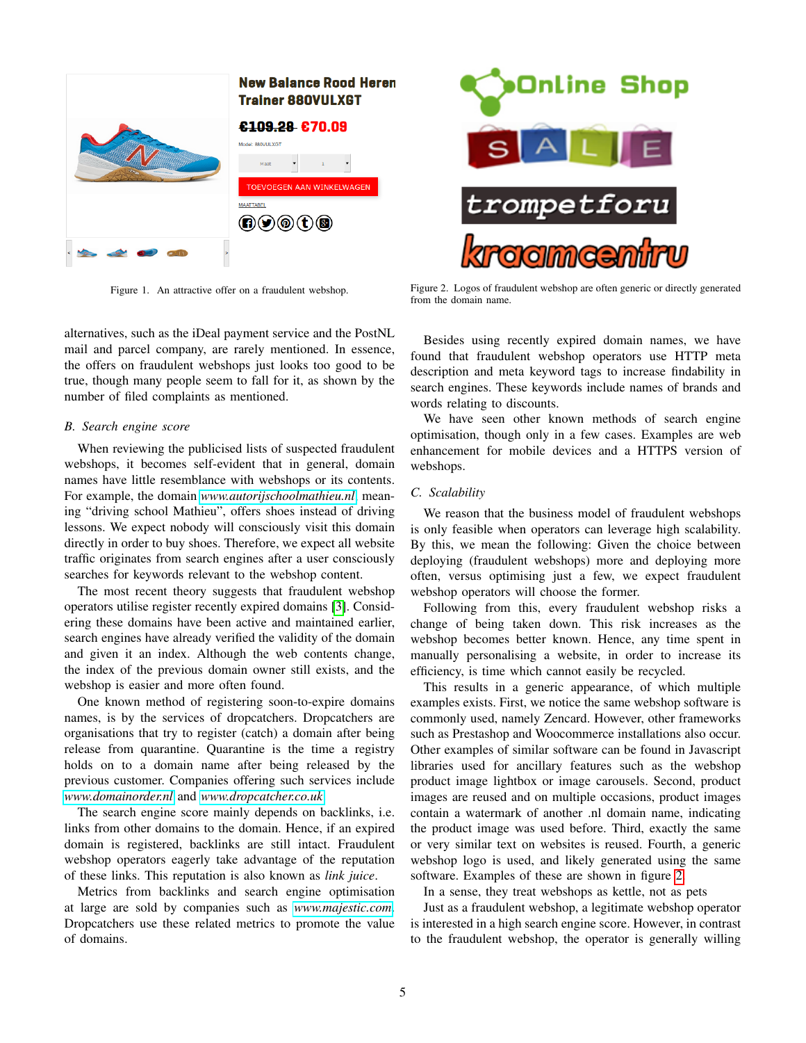

Figure 1. An attractive offer on a fraudulent webshop.

<span id="page-4-0"></span>alternatives, such as the iDeal payment service and the PostNL mail and parcel company, are rarely mentioned. In essence, the offers on fraudulent webshops just looks too good to be true, though many people seem to fall for it, as shown by the number of filed complaints as mentioned.

# <span id="page-4-2"></span>*B. Search engine score*

When reviewing the publicised lists of suspected fraudulent webshops, it becomes self-evident that in general, domain names have little resemblance with webshops or its contents. For example, the domain *<www.autorijschoolmathieu.nl>*, meaning "driving school Mathieu", offers shoes instead of driving lessons. We expect nobody will consciously visit this domain directly in order to buy shoes. Therefore, we expect all website traffic originates from search engines after a user consciously searches for keywords relevant to the webshop content.

The most recent theory suggests that fraudulent webshop operators utilise register recently expired domains [\[3\]](#page-11-2). Considering these domains have been active and maintained earlier, search engines have already verified the validity of the domain and given it an index. Although the web contents change, the index of the previous domain owner still exists, and the webshop is easier and more often found.

One known method of registering soon-to-expire domains names, is by the services of dropcatchers. Dropcatchers are organisations that try to register (catch) a domain after being release from quarantine. Quarantine is the time a registry holds on to a domain name after being released by the previous customer. Companies offering such services include *<www.domainorder.nl>* and *<www.dropcatcher.co.uk>*.

The search engine score mainly depends on backlinks, i.e. links from other domains to the domain. Hence, if an expired domain is registered, backlinks are still intact. Fraudulent webshop operators eagerly take advantage of the reputation of these links. This reputation is also known as *link juice*.

Metrics from backlinks and search engine optimisation at large are sold by companies such as *<www.majestic.com>*. Dropcatchers use these related metrics to promote the value of domains.



Figure 2. Logos of fraudulent webshop are often generic or directly generated from the domain name.

<span id="page-4-1"></span>Besides using recently expired domain names, we have found that fraudulent webshop operators use HTTP meta description and meta keyword tags to increase findability in search engines. These keywords include names of brands and words relating to discounts.

We have seen other known methods of search engine optimisation, though only in a few cases. Examples are web enhancement for mobile devices and a HTTPS version of webshops.

# *C. Scalability*

We reason that the business model of fraudulent webshops is only feasible when operators can leverage high scalability. By this, we mean the following: Given the choice between deploying (fraudulent webshops) more and deploying more often, versus optimising just a few, we expect fraudulent webshop operators will choose the former.

Following from this, every fraudulent webshop risks a change of being taken down. This risk increases as the webshop becomes better known. Hence, any time spent in manually personalising a website, in order to increase its efficiency, is time which cannot easily be recycled.

This results in a generic appearance, of which multiple examples exists. First, we notice the same webshop software is commonly used, namely Zencard. However, other frameworks such as Prestashop and Woocommerce installations also occur. Other examples of similar software can be found in Javascript libraries used for ancillary features such as the webshop product image lightbox or image carousels. Second, product images are reused and on multiple occasions, product images contain a watermark of another .nl domain name, indicating the product image was used before. Third, exactly the same or very similar text on websites is reused. Fourth, a generic webshop logo is used, and likely generated using the same software. Examples of these are shown in figure [2.](#page-4-1)

In a sense, they treat webshops as kettle, not as pets

Just as a fraudulent webshop, a legitimate webshop operator is interested in a high search engine score. However, in contrast to the fraudulent webshop, the operator is generally willing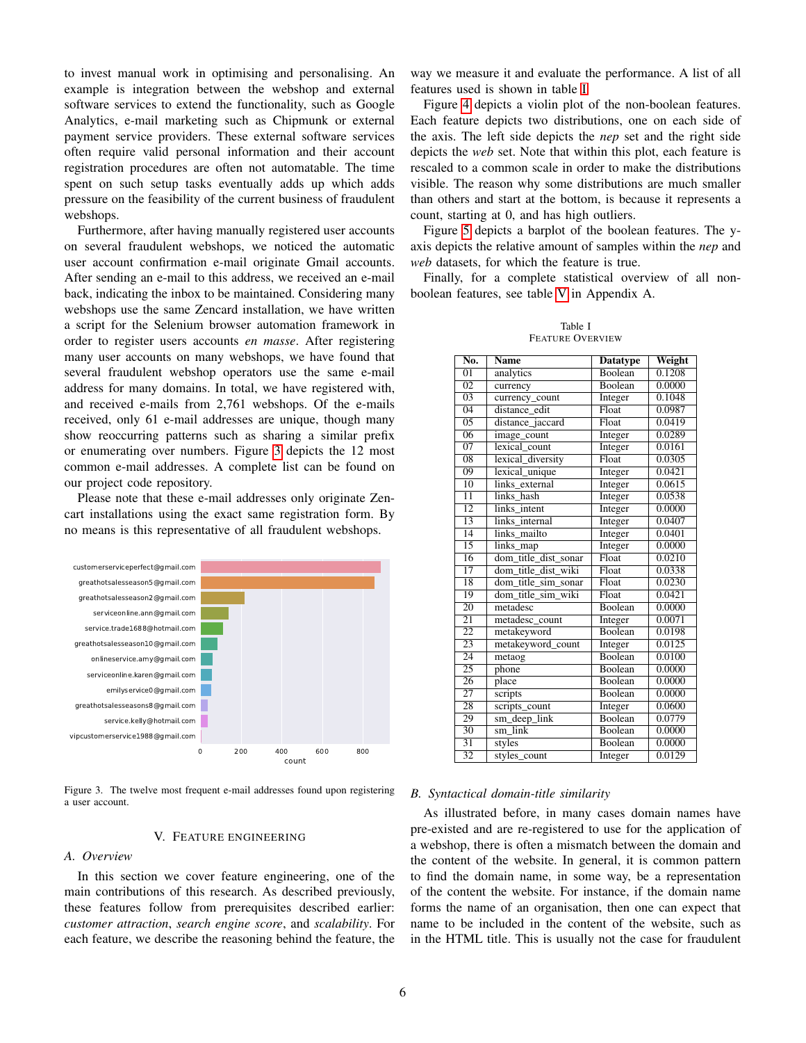to invest manual work in optimising and personalising. An example is integration between the webshop and external software services to extend the functionality, such as Google Analytics, e-mail marketing such as Chipmunk or external payment service providers. These external software services often require valid personal information and their account registration procedures are often not automatable. The time spent on such setup tasks eventually adds up which adds pressure on the feasibility of the current business of fraudulent webshops.

Furthermore, after having manually registered user accounts on several fraudulent webshops, we noticed the automatic user account confirmation e-mail originate Gmail accounts. After sending an e-mail to this address, we received an e-mail back, indicating the inbox to be maintained. Considering many webshops use the same Zencard installation, we have written a script for the Selenium browser automation framework in order to register users accounts *en masse*. After registering many user accounts on many webshops, we have found that several fraudulent webshop operators use the same e-mail address for many domains. In total, we have registered with, and received e-mails from 2,761 webshops. Of the e-mails received, only 61 e-mail addresses are unique, though many show reoccurring patterns such as sharing a similar prefix or enumerating over numbers. Figure [3](#page-5-2) depicts the 12 most common e-mail addresses. A complete list can be found on our project code repository.

Please note that these e-mail addresses only originate Zencart installations using the exact same registration form. By no means is this representative of all fraudulent webshops.



<span id="page-5-2"></span>Figure 3. The twelve most frequent e-mail addresses found upon registering a user account.

# V. FEATURE ENGINEERING

# <span id="page-5-0"></span>*A. Overview*

In this section we cover feature engineering, one of the main contributions of this research. As described previously, these features follow from prerequisites described earlier: *customer attraction*, *search engine score*, and *scalability*. For each feature, we describe the reasoning behind the feature, the way we measure it and evaluate the performance. A list of all features used is shown in table [I.](#page-5-1)

Figure [4](#page-6-0) depicts a violin plot of the non-boolean features. Each feature depicts two distributions, one on each side of the axis. The left side depicts the *nep* set and the right side depicts the *web* set. Note that within this plot, each feature is rescaled to a common scale in order to make the distributions visible. The reason why some distributions are much smaller than others and start at the bottom, is because it represents a count, starting at 0, and has high outliers.

Figure [5](#page-6-1) depicts a barplot of the boolean features. The yaxis depicts the relative amount of samples within the *nep* and *web* datasets, for which the feature is true.

Finally, for a complete statistical overview of all nonboolean features, see table [V](#page-13-0) in Appendix A.

| Table I          |  |  |  |  |  |  |  |  |
|------------------|--|--|--|--|--|--|--|--|
| Feature Overview |  |  |  |  |  |  |  |  |

<span id="page-5-1"></span>

| $\overline{No}$ . | <b>Name</b>          | <b>Datatype</b> | Weight |  |  |  |
|-------------------|----------------------|-----------------|--------|--|--|--|
| $\overline{01}$   | analytics            | <b>Boolean</b>  | 0.1208 |  |  |  |
| $\overline{02}$   | currency             | <b>Boolean</b>  | 0.0000 |  |  |  |
| $\overline{03}$   | currency_count       | Integer         | 0.1048 |  |  |  |
| $\overline{04}$   | distance edit        | Float           | 0.0987 |  |  |  |
| $\overline{05}$   | distance_jaccard     | Float           | 0.0419 |  |  |  |
| $\overline{06}$   | image_count          | Integer         | 0.0289 |  |  |  |
| $\overline{07}$   | lexical count        | Integer         | 0.0161 |  |  |  |
| $\overline{08}$   | lexical_diversity    | Float           | 0.0305 |  |  |  |
| $\overline{09}$   | lexical unique       | Integer         | 0.0421 |  |  |  |
| $\overline{10}$   | links external       | Integer         | 0.0615 |  |  |  |
| $\overline{11}$   | links hash           | Integer         | 0.0538 |  |  |  |
| $\overline{12}$   | links intent         | Integer         | 0.0000 |  |  |  |
| $\overline{13}$   | links internal       | Integer         | 0.0407 |  |  |  |
| $\overline{14}$   | links mailto         | Integer         | 0.0401 |  |  |  |
| $\overline{15}$   | links_map            | Integer         | 0.0000 |  |  |  |
| $\overline{16}$   | dom_title_dist_sonar | Float           | 0.0210 |  |  |  |
| $\overline{17}$   | dom_title_dist_wiki  | Float           | 0.0338 |  |  |  |
| 18                | dom_title_sim_sonar  | Float           | 0.0230 |  |  |  |
| 19                | dom title sim wiki   | Float           | 0.0421 |  |  |  |
| 20                | metadesc             | Boolean         | 0.0000 |  |  |  |
| $\overline{21}$   | metadesc count       | Integer         | 0.0071 |  |  |  |
| $\overline{22}$   | metakeyword          | Boolean         | 0.0198 |  |  |  |
| 23                | metakeyword count    | Integer         | 0.0125 |  |  |  |
| 24                | metaog               | <b>Boolean</b>  | 0.0100 |  |  |  |
| 25                | phone                | <b>Boolean</b>  | 0.0000 |  |  |  |
| 26                | place                | Boolean         | 0.0000 |  |  |  |
| $\overline{27}$   | scripts              | Boolean         | 0.0000 |  |  |  |
| 28                | scripts_count        | Integer         | 0.0600 |  |  |  |
| 29                | sm_deep_link         | Boolean         | 0.0779 |  |  |  |
| 30                | $sm$ link            | Boolean         | 0.0000 |  |  |  |
| $\overline{31}$   | styles               | <b>Boolean</b>  | 0.0000 |  |  |  |
| $\overline{32}$   | styles count         | Integer         | 0.0129 |  |  |  |

#### *B. Syntactical domain-title similarity*

As illustrated before, in many cases domain names have pre-existed and are re-registered to use for the application of a webshop, there is often a mismatch between the domain and the content of the website. In general, it is common pattern to find the domain name, in some way, be a representation of the content the website. For instance, if the domain name forms the name of an organisation, then one can expect that name to be included in the content of the website, such as in the HTML title. This is usually not the case for fraudulent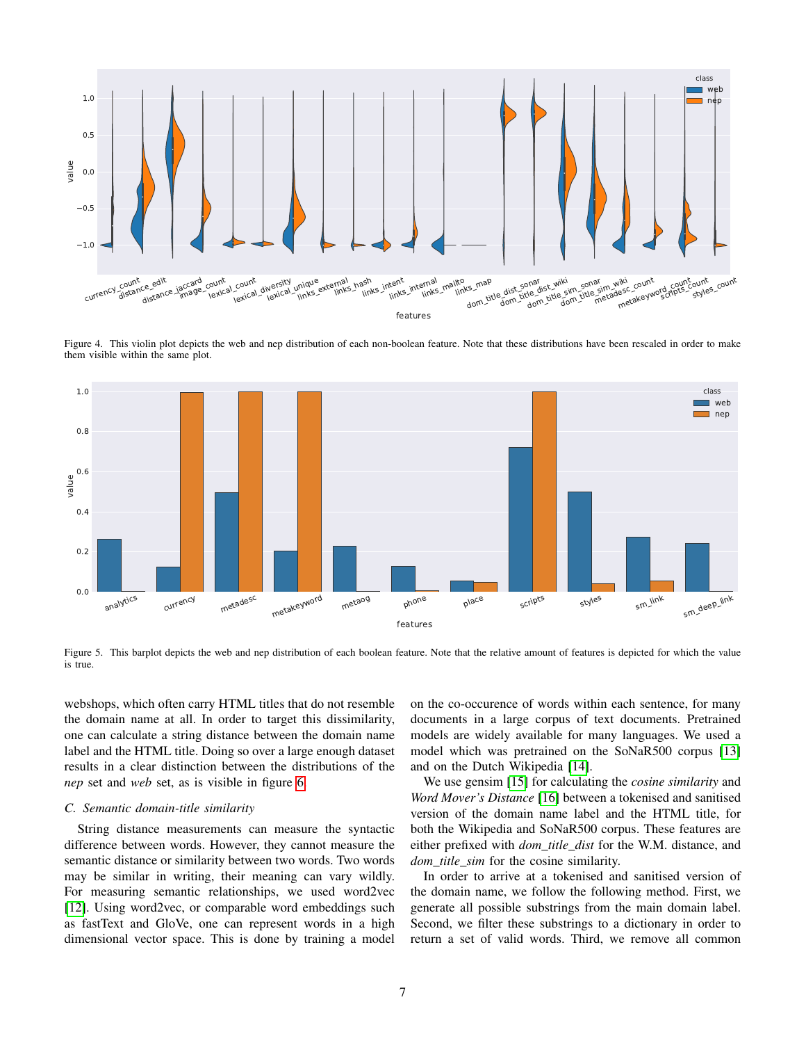

<span id="page-6-0"></span>Figure 4. This violin plot depicts the web and nep distribution of each non-boolean feature. Note that these distributions have been rescaled in order to make them visible within the same plot.



<span id="page-6-1"></span>Figure 5. This barplot depicts the web and nep distribution of each boolean feature. Note that the relative amount of features is depicted for which the value is true.

webshops, which often carry HTML titles that do not resemble the domain name at all. In order to target this dissimilarity, one can calculate a string distance between the domain name label and the HTML title. Doing so over a large enough dataset results in a clear distinction between the distributions of the *nep* set and *web* set, as is visible in figure [6.](#page-7-0)

# *C. Semantic domain-title similarity*

String distance measurements can measure the syntactic difference between words. However, they cannot measure the semantic distance or similarity between two words. Two words may be similar in writing, their meaning can vary wildly. For measuring semantic relationships, we used word2vec [\[12\]](#page-11-12). Using word2vec, or comparable word embeddings such as fastText and GloVe, one can represent words in a high dimensional vector space. This is done by training a model

on the co-occurence of words within each sentence, for many documents in a large corpus of text documents. Pretrained models are widely available for many languages. We used a model which was pretrained on the SoNaR500 corpus [\[13\]](#page-11-13) and on the Dutch Wikipedia [\[14\]](#page-12-0).

We use gensim [\[15\]](#page-12-1) for calculating the *cosine similarity* and *Word Mover's Distance* [\[16\]](#page-12-2) between a tokenised and sanitised version of the domain name label and the HTML title, for both the Wikipedia and SoNaR500 corpus. These features are either prefixed with *dom\_title\_dist* for the W.M. distance, and *dom\_title\_sim* for the cosine similarity.

In order to arrive at a tokenised and sanitised version of the domain name, we follow the following method. First, we generate all possible substrings from the main domain label. Second, we filter these substrings to a dictionary in order to return a set of valid words. Third, we remove all common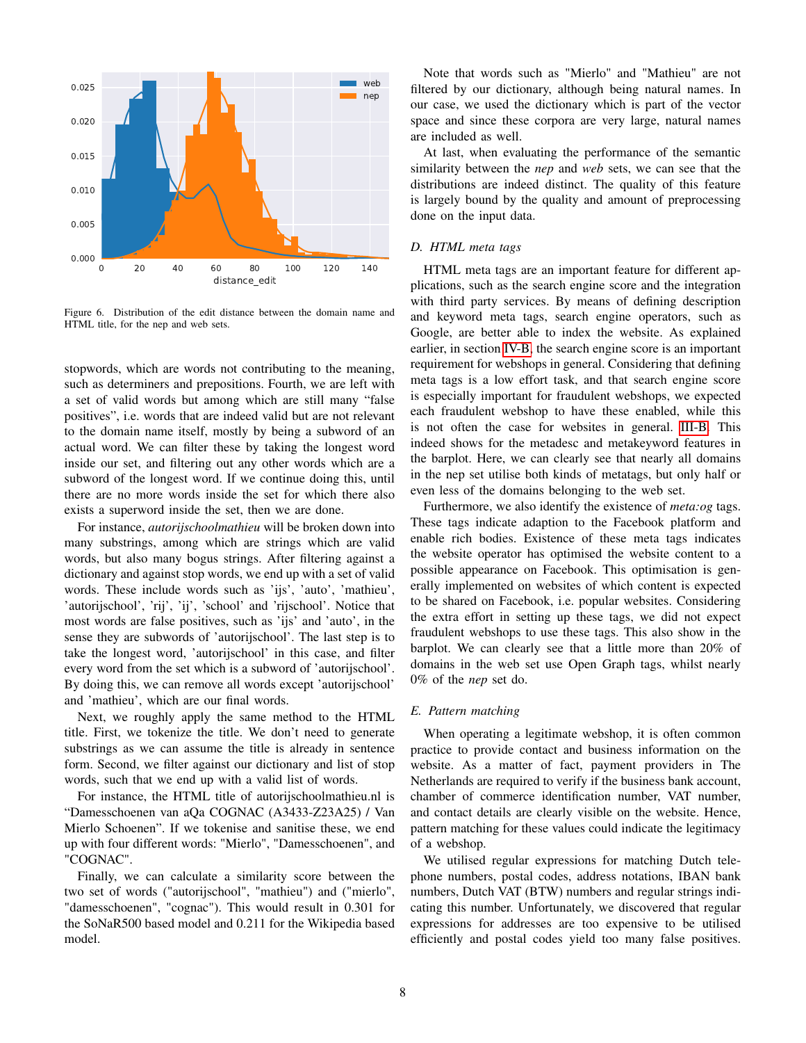

<span id="page-7-0"></span>Figure 6. Distribution of the edit distance between the domain name and HTML title, for the nep and web sets.

stopwords, which are words not contributing to the meaning, such as determiners and prepositions. Fourth, we are left with a set of valid words but among which are still many "false positives", i.e. words that are indeed valid but are not relevant to the domain name itself, mostly by being a subword of an actual word. We can filter these by taking the longest word inside our set, and filtering out any other words which are a subword of the longest word. If we continue doing this, until there are no more words inside the set for which there also exists a superword inside the set, then we are done.

For instance, *autorijschoolmathieu* will be broken down into many substrings, among which are strings which are valid words, but also many bogus strings. After filtering against a dictionary and against stop words, we end up with a set of valid words. These include words such as 'ijs', 'auto', 'mathieu', 'autorijschool', 'rij', 'ij', 'school' and 'rijschool'. Notice that most words are false positives, such as 'ijs' and 'auto', in the sense they are subwords of 'autorijschool'. The last step is to take the longest word, 'autorijschool' in this case, and filter every word from the set which is a subword of 'autorijschool'. By doing this, we can remove all words except 'autorijschool' and 'mathieu', which are our final words.

Next, we roughly apply the same method to the HTML title. First, we tokenize the title. We don't need to generate substrings as we can assume the title is already in sentence form. Second, we filter against our dictionary and list of stop words, such that we end up with a valid list of words.

For instance, the HTML title of autorijschoolmathieu.nl is "Damesschoenen van aQa COGNAC (A3433-Z23A25) / Van Mierlo Schoenen". If we tokenise and sanitise these, we end up with four different words: "Mierlo", "Damesschoenen", and "COGNAC".

Finally, we can calculate a similarity score between the two set of words ("autorijschool", "mathieu") and ("mierlo", "damesschoenen", "cognac"). This would result in 0.301 for the SoNaR500 based model and 0.211 for the Wikipedia based model.

Note that words such as "Mierlo" and "Mathieu" are not filtered by our dictionary, although being natural names. In our case, we used the dictionary which is part of the vector space and since these corpora are very large, natural names are included as well.

At last, when evaluating the performance of the semantic similarity between the *nep* and *web* sets, we can see that the distributions are indeed distinct. The quality of this feature is largely bound by the quality and amount of preprocessing done on the input data.

# *D. HTML meta tags*

HTML meta tags are an important feature for different applications, such as the search engine score and the integration with third party services. By means of defining description and keyword meta tags, search engine operators, such as Google, are better able to index the website. As explained earlier, in section [IV-B,](#page-4-2) the search engine score is an important requirement for webshops in general. Considering that defining meta tags is a low effort task, and that search engine score is especially important for fraudulent webshops, we expected each fraudulent webshop to have these enabled, while this is not often the case for websites in general. [III-B.](#page-2-1) This indeed shows for the metadesc and metakeyword features in the barplot. Here, we can clearly see that nearly all domains in the nep set utilise both kinds of metatags, but only half or even less of the domains belonging to the web set.

Furthermore, we also identify the existence of *meta:og* tags. These tags indicate adaption to the Facebook platform and enable rich bodies. Existence of these meta tags indicates the website operator has optimised the website content to a possible appearance on Facebook. This optimisation is generally implemented on websites of which content is expected to be shared on Facebook, i.e. popular websites. Considering the extra effort in setting up these tags, we did not expect fraudulent webshops to use these tags. This also show in the barplot. We can clearly see that a little more than 20% of domains in the web set use Open Graph tags, whilst nearly 0% of the *nep* set do.

#### *E. Pattern matching*

When operating a legitimate webshop, it is often common practice to provide contact and business information on the website. As a matter of fact, payment providers in The Netherlands are required to verify if the business bank account, chamber of commerce identification number, VAT number, and contact details are clearly visible on the website. Hence, pattern matching for these values could indicate the legitimacy of a webshop.

We utilised regular expressions for matching Dutch telephone numbers, postal codes, address notations, IBAN bank numbers, Dutch VAT (BTW) numbers and regular strings indicating this number. Unfortunately, we discovered that regular expressions for addresses are too expensive to be utilised efficiently and postal codes yield too many false positives.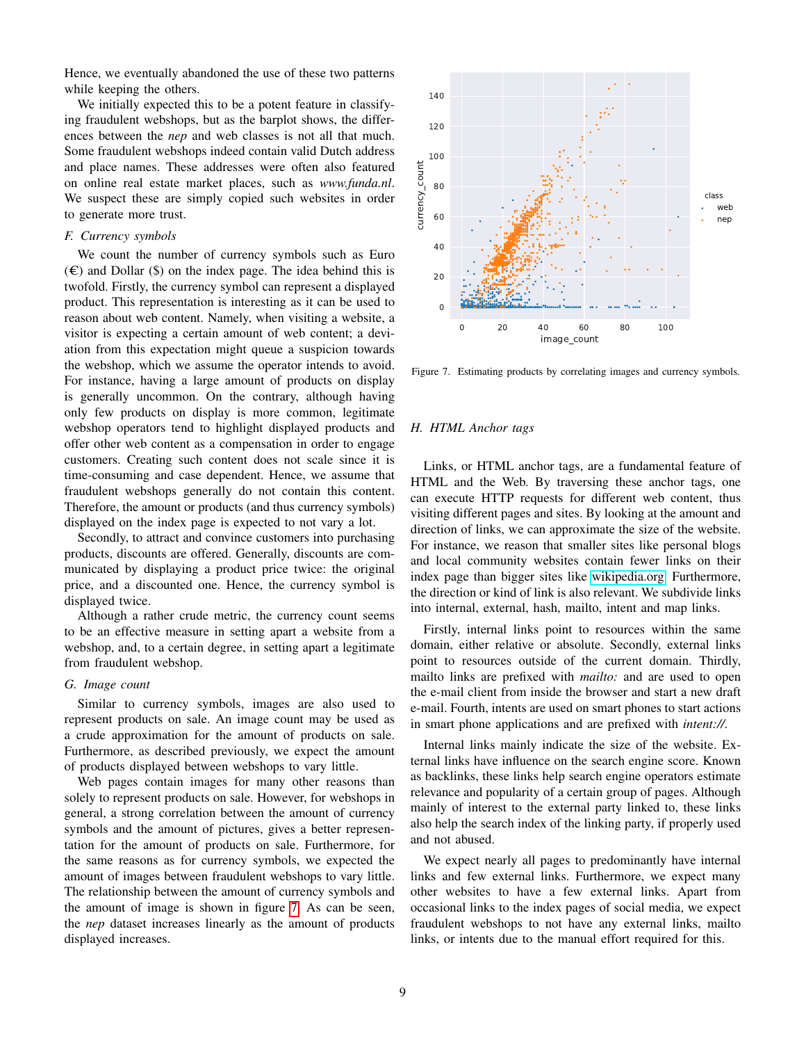Hence, we eventually abandoned the use of these two patterns while keeping the others.

We initially expected this to be a potent feature in classifying fraudulent webshops, but as the barplot shows, the differences between the *nep* and web classes is not all that much. Some fraudulent webshops indeed contain valid Dutch address and place names. These addresses were often also featured on online real estate market places, such as *www.funda.nl*. We suspect these are simply copied such websites in order to generate more trust.

## *F. Currency symbols*

We count the number of currency symbols such as Euro  $(\epsilon)$  and Dollar (\$) on the index page. The idea behind this is twofold. Firstly, the currency symbol can represent a displayed product. This representation is interesting as it can be used to reason about web content. Namely, when visiting a website, a visitor is expecting a certain amount of web content; a deviation from this expectation might queue a suspicion towards the webshop, which we assume the operator intends to avoid. For instance, having a large amount of products on display is generally uncommon. On the contrary, although having only few products on display is more common, legitimate webshop operators tend to highlight displayed products and offer other web content as a compensation in order to engage customers. Creating such content does not scale since it is time-consuming and case dependent. Hence, we assume that fraudulent webshops generally do not contain this content. Therefore, the amount or products (and thus currency symbols) displayed on the index page is expected to not vary a lot.

Secondly, to attract and convince customers into purchasing products, discounts are offered. Generally, discounts are communicated by displaying a product price twice: the original price, and a discounted one. Hence, the currency symbol is displayed twice.

Although a rather crude metric, the currency count seems to be an effective measure in setting apart a website from a webshop, and, to a certain degree, in setting apart a legitimate from fraudulent webshop.

## *G. Image count*

Similar to currency symbols, images are also used to represent products on sale. An image count may be used as a crude approximation for the amount of products on sale. Furthermore, as described previously, we expect the amount of products displayed between webshops to vary little.

Web pages contain images for many other reasons than solely to represent products on sale. However, for webshops in general, a strong correlation between the amount of currency symbols and the amount of pictures, gives a better representation for the amount of products on sale. Furthermore, for the same reasons as for currency symbols, we expected the amount of images between fraudulent webshops to vary little. The relationship between the amount of currency symbols and the amount of image is shown in figure [7.](#page-8-0) As can be seen, the *nep* dataset increases linearly as the amount of products displayed increases.



<span id="page-8-0"></span>Figure 7. Estimating products by correlating images and currency symbols.

# *H. HTML Anchor tags*

Links, or HTML anchor tags, are a fundamental feature of HTML and the Web. By traversing these anchor tags, one can execute HTTP requests for different web content, thus visiting different pages and sites. By looking at the amount and direction of links, we can approximate the size of the website. For instance, we reason that smaller sites like personal blogs and local community websites contain fewer links on their index page than bigger sites like [wikipedia.org.](wikipedia.org) Furthermore, the direction or kind of link is also relevant. We subdivide links into internal, external, hash, mailto, intent and map links.

Firstly, internal links point to resources within the same domain, either relative or absolute. Secondly, external links point to resources outside of the current domain. Thirdly, mailto links are prefixed with *mailto:* and are used to open the e-mail client from inside the browser and start a new draft e-mail. Fourth, intents are used on smart phones to start actions in smart phone applications and are prefixed with *intent://*.

Internal links mainly indicate the size of the website. External links have influence on the search engine score. Known as backlinks, these links help search engine operators estimate relevance and popularity of a certain group of pages. Although mainly of interest to the external party linked to, these links also help the search index of the linking party, if properly used and not abused.

We expect nearly all pages to predominantly have internal links and few external links. Furthermore, we expect many other websites to have a few external links. Apart from occasional links to the index pages of social media, we expect fraudulent webshops to not have any external links, mailto links, or intents due to the manual effort required for this.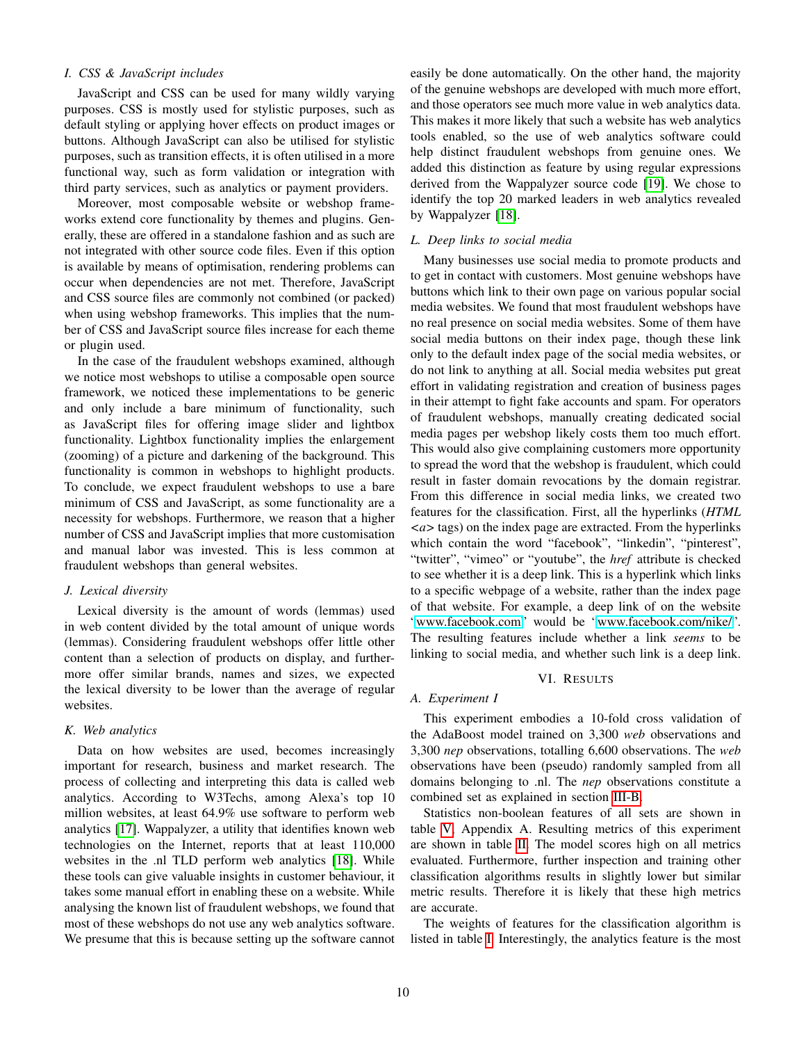# *I. CSS & JavaScript includes*

JavaScript and CSS can be used for many wildly varying purposes. CSS is mostly used for stylistic purposes, such as default styling or applying hover effects on product images or buttons. Although JavaScript can also be utilised for stylistic purposes, such as transition effects, it is often utilised in a more functional way, such as form validation or integration with third party services, such as analytics or payment providers.

Moreover, most composable website or webshop frameworks extend core functionality by themes and plugins. Generally, these are offered in a standalone fashion and as such are not integrated with other source code files. Even if this option is available by means of optimisation, rendering problems can occur when dependencies are not met. Therefore, JavaScript and CSS source files are commonly not combined (or packed) when using webshop frameworks. This implies that the number of CSS and JavaScript source files increase for each theme or plugin used.

In the case of the fraudulent webshops examined, although we notice most webshops to utilise a composable open source framework, we noticed these implementations to be generic and only include a bare minimum of functionality, such as JavaScript files for offering image slider and lightbox functionality. Lightbox functionality implies the enlargement (zooming) of a picture and darkening of the background. This functionality is common in webshops to highlight products. To conclude, we expect fraudulent webshops to use a bare minimum of CSS and JavaScript, as some functionality are a necessity for webshops. Furthermore, we reason that a higher number of CSS and JavaScript implies that more customisation and manual labor was invested. This is less common at fraudulent webshops than general websites.

## *J. Lexical diversity*

Lexical diversity is the amount of words (lemmas) used in web content divided by the total amount of unique words (lemmas). Considering fraudulent webshops offer little other content than a selection of products on display, and furthermore offer similar brands, names and sizes, we expected the lexical diversity to be lower than the average of regular websites.

# *K. Web analytics*

Data on how websites are used, becomes increasingly important for research, business and market research. The process of collecting and interpreting this data is called web analytics. According to W3Techs, among Alexa's top 10 million websites, at least 64.9% use software to perform web analytics [\[17\]](#page-12-3). Wappalyzer, a utility that identifies known web technologies on the Internet, reports that at least 110,000 websites in the .nl TLD perform web analytics [\[18\]](#page-12-4). While these tools can give valuable insights in customer behaviour, it takes some manual effort in enabling these on a website. While analysing the known list of fraudulent webshops, we found that most of these webshops do not use any web analytics software. We presume that this is because setting up the software cannot easily be done automatically. On the other hand, the majority of the genuine webshops are developed with much more effort, and those operators see much more value in web analytics data. This makes it more likely that such a website has web analytics tools enabled, so the use of web analytics software could help distinct fraudulent webshops from genuine ones. We added this distinction as feature by using regular expressions derived from the Wappalyzer source code [\[19\]](#page-12-5). We chose to identify the top 20 marked leaders in web analytics revealed by Wappalyzer [\[18\]](#page-12-4).

# *L. Deep links to social media*

Many businesses use social media to promote products and to get in contact with customers. Most genuine webshops have buttons which link to their own page on various popular social media websites. We found that most fraudulent webshops have no real presence on social media websites. Some of them have social media buttons on their index page, though these link only to the default index page of the social media websites, or do not link to anything at all. Social media websites put great effort in validating registration and creation of business pages in their attempt to fight fake accounts and spam. For operators of fraudulent webshops, manually creating dedicated social media pages per webshop likely costs them too much effort. This would also give complaining customers more opportunity to spread the word that the webshop is fraudulent, which could result in faster domain revocations by the domain registrar. From this difference in social media links, we created two features for the classification. First, all the hyperlinks (*HTML <a>* tags) on the index page are extracted. From the hyperlinks which contain the word "facebook", "linkedin", "pinterest", "twitter", "vimeo" or "youtube", the *href* attribute is checked to see whether it is a deep link. This is a hyperlink which links to a specific webpage of a website, rather than the index page of that website. For example, a deep link of on the website ["www.facebook.com"](www.facebook.com) would be ["www.facebook.com/nike/"](www.facebook.com/nike/). The resulting features include whether a link *seems* to be linking to social media, and whether such link is a deep link.

#### VI. RESULTS

## <span id="page-9-0"></span>*A. Experiment I*

This experiment embodies a 10-fold cross validation of the AdaBoost model trained on 3,300 *web* observations and 3,300 *nep* observations, totalling 6,600 observations. The *web* observations have been (pseudo) randomly sampled from all domains belonging to .nl. The *nep* observations constitute a combined set as explained in section [III-B.](#page-2-1)

Statistics non-boolean features of all sets are shown in table [V,](#page-13-0) Appendix A. Resulting metrics of this experiment are shown in table [II.](#page-10-1) The model scores high on all metrics evaluated. Furthermore, further inspection and training other classification algorithms results in slightly lower but similar metric results. Therefore it is likely that these high metrics are accurate.

The weights of features for the classification algorithm is listed in table [I.](#page-5-1) Interestingly, the analytics feature is the most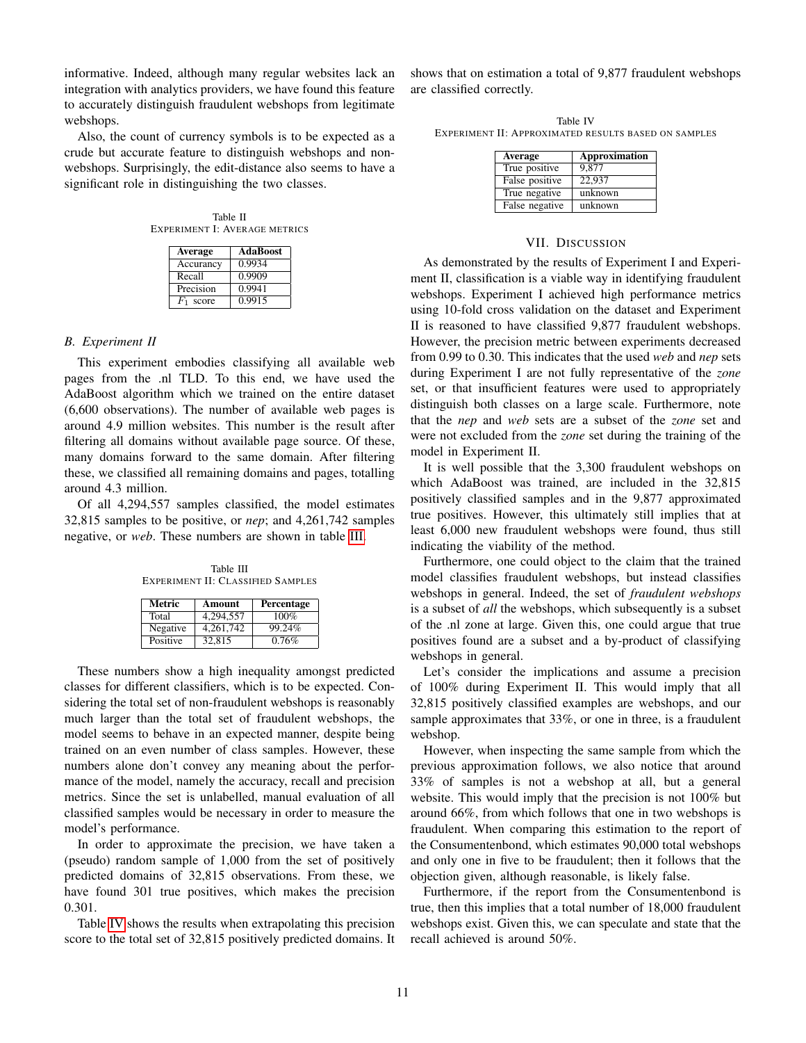informative. Indeed, although many regular websites lack an integration with analytics providers, we have found this feature to accurately distinguish fraudulent webshops from legitimate webshops.

Also, the count of currency symbols is to be expected as a crude but accurate feature to distinguish webshops and nonwebshops. Surprisingly, the edit-distance also seems to have a significant role in distinguishing the two classes.

<span id="page-10-1"></span>Table II EXPERIMENT I: AVERAGE METRICS

| Average     | <b>AdaBoost</b> |
|-------------|-----------------|
| Accurancy   | 0.9934          |
| Recall      | 0.9909          |
| Precision   | 0.9941          |
| $F_1$ score | 0.9915          |

## *B. Experiment II*

This experiment embodies classifying all available web pages from the .nl TLD. To this end, we have used the AdaBoost algorithm which we trained on the entire dataset (6,600 observations). The number of available web pages is around 4.9 million websites. This number is the result after filtering all domains without available page source. Of these, many domains forward to the same domain. After filtering these, we classified all remaining domains and pages, totalling around 4.3 million.

<span id="page-10-2"></span>Of all 4,294,557 samples classified, the model estimates 32,815 samples to be positive, or *nep*; and 4,261,742 samples negative, or *web*. These numbers are shown in table [III.](#page-10-2)

Table III EXPERIMENT II: CLASSIFIED SAMPLES

| Metric   | Amount    | Percentage |
|----------|-----------|------------|
| Total    | 4,294,557 | 100%       |
| Negative | 4,261,742 | 99.24%     |
| Positive | 32,815    | 0.76%      |

These numbers show a high inequality amongst predicted classes for different classifiers, which is to be expected. Considering the total set of non-fraudulent webshops is reasonably much larger than the total set of fraudulent webshops, the model seems to behave in an expected manner, despite being trained on an even number of class samples. However, these numbers alone don't convey any meaning about the performance of the model, namely the accuracy, recall and precision metrics. Since the set is unlabelled, manual evaluation of all classified samples would be necessary in order to measure the model's performance.

In order to approximate the precision, we have taken a (pseudo) random sample of 1,000 from the set of positively predicted domains of 32,815 observations. From these, we have found 301 true positives, which makes the precision 0.301.

Table [IV](#page-10-3) shows the results when extrapolating this precision score to the total set of 32,815 positively predicted domains. It shows that on estimation a total of 9,877 fraudulent webshops are classified correctly.

<span id="page-10-3"></span>Table IV EXPERIMENT II: APPROXIMATED RESULTS BASED ON SAMPLES

| Average        | Approximation |
|----------------|---------------|
| True positive  | 9.877         |
| False positive | 22,937        |
| True negative  | unknown       |
| False negative | unknown       |

#### VII. DISCUSSION

<span id="page-10-0"></span>As demonstrated by the results of Experiment I and Experiment II, classification is a viable way in identifying fraudulent webshops. Experiment I achieved high performance metrics using 10-fold cross validation on the dataset and Experiment II is reasoned to have classified 9,877 fraudulent webshops. However, the precision metric between experiments decreased from 0.99 to 0.30. This indicates that the used *web* and *nep* sets during Experiment I are not fully representative of the *zone* set, or that insufficient features were used to appropriately distinguish both classes on a large scale. Furthermore, note that the *nep* and *web* sets are a subset of the *zone* set and were not excluded from the *zone* set during the training of the model in Experiment II.

It is well possible that the 3,300 fraudulent webshops on which AdaBoost was trained, are included in the 32,815 positively classified samples and in the 9,877 approximated true positives. However, this ultimately still implies that at least 6,000 new fraudulent webshops were found, thus still indicating the viability of the method.

Furthermore, one could object to the claim that the trained model classifies fraudulent webshops, but instead classifies webshops in general. Indeed, the set of *fraudulent webshops* is a subset of *all* the webshops, which subsequently is a subset of the .nl zone at large. Given this, one could argue that true positives found are a subset and a by-product of classifying webshops in general.

Let's consider the implications and assume a precision of 100% during Experiment II. This would imply that all 32,815 positively classified examples are webshops, and our sample approximates that 33%, or one in three, is a fraudulent webshop.

However, when inspecting the same sample from which the previous approximation follows, we also notice that around 33% of samples is not a webshop at all, but a general website. This would imply that the precision is not 100% but around 66%, from which follows that one in two webshops is fraudulent. When comparing this estimation to the report of the Consumentenbond, which estimates 90,000 total webshops and only one in five to be fraudulent; then it follows that the objection given, although reasonable, is likely false.

Furthermore, if the report from the Consumentenbond is true, then this implies that a total number of 18,000 fraudulent webshops exist. Given this, we can speculate and state that the recall achieved is around 50%.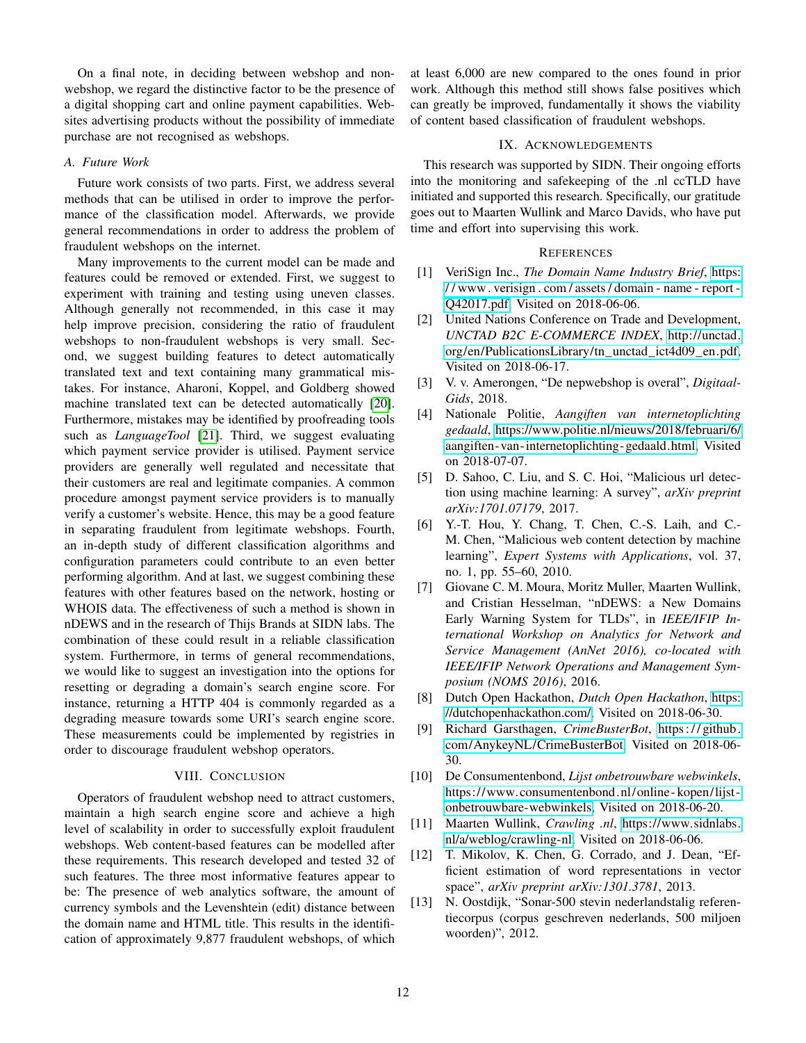On a final note, in deciding between webshop and nonwebshop, we regard the distinctive factor to be the presence of a digital shopping cart and online payment capabilities. Websites advertising products without the possibility of immediate purchase are not recognised as webshops.

## *A. Future Work*

Future work consists of two parts. First, we address several methods that can be utilised in order to improve the performance of the classification model. Afterwards, we provide general recommendations in order to address the problem of fraudulent webshops on the internet.

Many improvements to the current model can be made and features could be removed or extended. First, we suggest to experiment with training and testing using uneven classes. Although generally not recommended, in this case it may help improve precision, considering the ratio of fraudulent webshops to non-fraudulent webshops is very small. Second, we suggest building features to detect automatically translated text and text containing many grammatical mistakes. For instance, Aharoni, Koppel, and Goldberg showed machine translated text can be detected automatically [\[20\]](#page-12-6). Furthermore, mistakes may be identified by proofreading tools such as *LanguageTool* [\[21\]](#page-12-7). Third, we suggest evaluating which payment service provider is utilised. Payment service providers are generally well regulated and necessitate that their customers are real and legitimate companies. A common procedure amongst payment service providers is to manually verify a customer's website. Hence, this may be a good feature in separating fraudulent from legitimate webshops. Fourth, an in-depth study of different classification algorithms and configuration parameters could contribute to an even better performing algorithm. And at last, we suggest combining these features with other features based on the network, hosting or WHOIS data. The effectiveness of such a method is shown in nDEWS and in the research of Thijs Brands at SIDN labs. The combination of these could result in a reliable classification system. Furthermore, in terms of general recommendations, we would like to suggest an investigation into the options for resetting or degrading a domain's search engine score. For instance, returning a HTTP 404 is commonly regarded as a degrading measure towards some URI's search engine score. These measurements could be implemented by registries in order to discourage fraudulent webshop operators.

# VIII. CONCLUSION

<span id="page-11-4"></span>Operators of fraudulent webshop need to attract customers, maintain a high search engine score and achieve a high level of scalability in order to successfully exploit fraudulent webshops. Web content-based features can be modelled after these requirements. This research developed and tested 32 of such features. The three most informative features appear to be: The presence of web analytics software, the amount of currency symbols and the Levenshtein (edit) distance between the domain name and HTML title. This results in the identification of approximately 9,877 fraudulent webshops, of which at least 6,000 are new compared to the ones found in prior work. Although this method still shows false positives which can greatly be improved, fundamentally it shows the viability of content based classification of fraudulent webshops.

## IX. ACKNOWLEDGEMENTS

<span id="page-11-5"></span>This research was supported by SIDN. Their ongoing efforts into the monitoring and safekeeping of the .nl ccTLD have initiated and supported this research. Specifically, our gratitude goes out to Maarten Wullink and Marco Davids, who have put time and effort into supervising this work.

#### **REFERENCES**

- <span id="page-11-0"></span>[1] VeriSign Inc., *The Domain Name Industry Brief*, [https:](https://www.verisign.com/assets/domain-name-report-Q42017.pdf) [/ / www . verisign . com / assets / domain - name - report -](https://www.verisign.com/assets/domain-name-report-Q42017.pdf) [Q42017.pdf,](https://www.verisign.com/assets/domain-name-report-Q42017.pdf) Visited on 2018-06-06.
- <span id="page-11-1"></span>[2] United Nations Conference on Trade and Development, *UNCTAD B2C E-COMMERCE INDEX*, [http://unctad.](http://unctad.org/en/PublicationsLibrary/tn_unctad_ict4d09_en.pdf) [org/en/PublicationsLibrary/tn\\_unctad\\_ict4d09\\_en.pdf,](http://unctad.org/en/PublicationsLibrary/tn_unctad_ict4d09_en.pdf) Visited on 2018-06-17.
- <span id="page-11-2"></span>[3] V. v. Amerongen, "De nepwebshop is overal", *Digitaal-Gids*, 2018.
- <span id="page-11-3"></span>[4] Nationale Politie, *Aangiften van internetoplichting gedaald*, [https://www.politie.nl/nieuws/2018/februari/6/](https://www.politie.nl/nieuws/2018/februari/6/aangiften-van-internetoplichting-gedaald.html) [aangiften- van-internetoplichting- gedaald.html,](https://www.politie.nl/nieuws/2018/februari/6/aangiften-van-internetoplichting-gedaald.html) Visited on 2018-07-07.
- <span id="page-11-6"></span>[5] D. Sahoo, C. Liu, and S. C. Hoi, "Malicious url detection using machine learning: A survey", *arXiv preprint arXiv:1701.07179*, 2017.
- <span id="page-11-7"></span>[6] Y.-T. Hou, Y. Chang, T. Chen, C.-S. Laih, and C.- M. Chen, "Malicious web content detection by machine learning", *Expert Systems with Applications*, vol. 37, no. 1, pp. 55–60, 2010.
- [7] Giovane C. M. Moura, Moritz Muller, Maarten Wullink, and Cristian Hesselman, "nDEWS: a New Domains Early Warning System for TLDs", in *IEEE/IFIP International Workshop on Analytics for Network and Service Management (AnNet 2016), co-located with IEEE/IFIP Network Operations and Management Symposium (NOMS 2016)*, 2016.
- <span id="page-11-8"></span>[8] Dutch Open Hackathon, *Dutch Open Hackathon*, [https:](https://dutchopenhackathon.com/) [//dutchopenhackathon.com/,](https://dutchopenhackathon.com/) Visited on 2018-06-30.
- <span id="page-11-9"></span>[9] Richard Garsthagen, *CrimeBusterBot*, [https : / / github.](https://github.com/AnykeyNL/CrimeBusterBot) [com/AnykeyNL/CrimeBusterBot,](https://github.com/AnykeyNL/CrimeBusterBot) Visited on 2018-06- 30.
- <span id="page-11-10"></span>[10] De Consumentenbond, *Lijst onbetrouwbare webwinkels*, [https://www.consumentenbond.nl/online - kopen/lijst](https://www.consumentenbond.nl/online-kopen/lijst-onbetrouwbare-webwinkels)  [onbetrouwbare-webwinkels,](https://www.consumentenbond.nl/online-kopen/lijst-onbetrouwbare-webwinkels) Visited on 2018-06-20.
- <span id="page-11-11"></span>[11] Maarten Wullink, *Crawling .nl*, [https://www.sidnlabs.](https://www.sidnlabs.nl/a/weblog/crawling-nl) [nl/a/weblog/crawling-nl,](https://www.sidnlabs.nl/a/weblog/crawling-nl) Visited on 2018-06-06.
- <span id="page-11-12"></span>[12] T. Mikolov, K. Chen, G. Corrado, and J. Dean, "Efficient estimation of word representations in vector space", *arXiv preprint arXiv:1301.3781*, 2013.
- <span id="page-11-13"></span>[13] N. Oostdijk, "Sonar-500 stevin nederlandstalig referentiecorpus (corpus geschreven nederlands, 500 miljoen woorden)", 2012.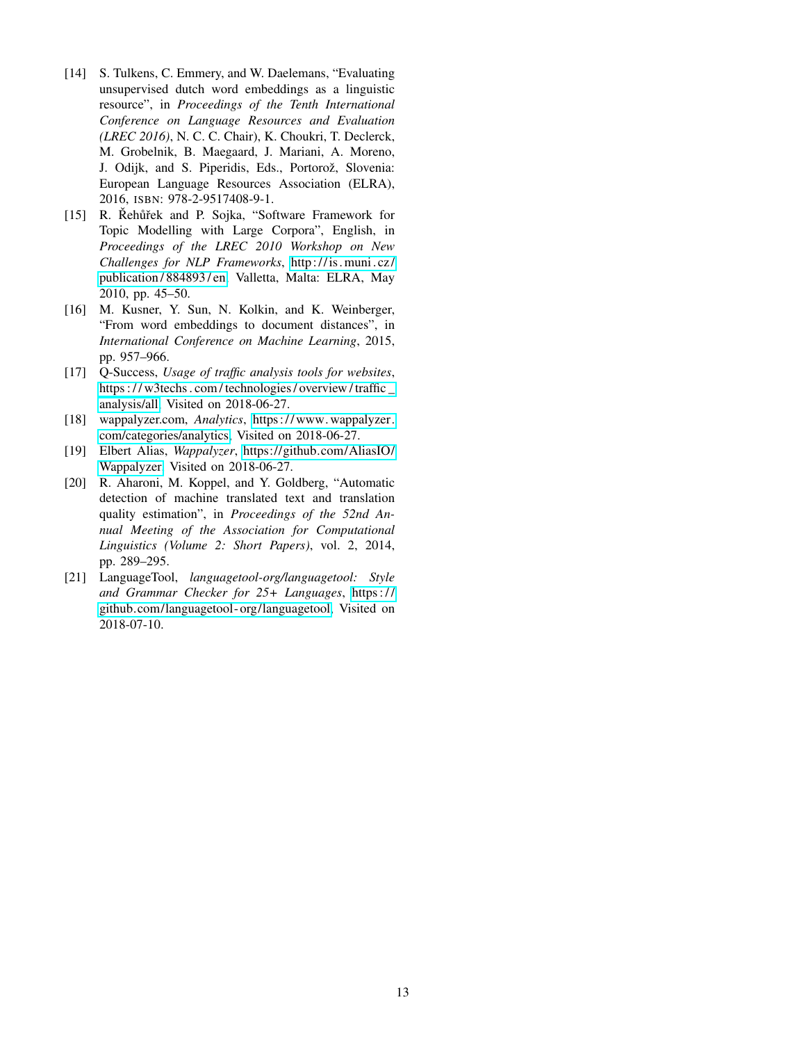- <span id="page-12-0"></span>[14] S. Tulkens, C. Emmery, and W. Daelemans, "Evaluating" unsupervised dutch word embeddings as a linguistic resource", in *Proceedings of the Tenth International Conference on Language Resources and Evaluation (LREC 2016)*, N. C. C. Chair), K. Choukri, T. Declerck, M. Grobelnik, B. Maegaard, J. Mariani, A. Moreno, J. Odijk, and S. Piperidis, Eds., Portorož, Slovenia: European Language Resources Association (ELRA), 2016, ISBN: 978-2-9517408-9-1.
- <span id="page-12-1"></span>[15] R. Řehůřek and P. Sojka, "Software Framework for Topic Modelling with Large Corpora", English, in *Proceedings of the LREC 2010 Workshop on New Challenges for NLP Frameworks*, [http://is .muni . cz/](http://is.muni.cz/publication/884893/en) [publication / 884893 / en,](http://is.muni.cz/publication/884893/en) Valletta, Malta: ELRA, May 2010, pp. 45–50.
- <span id="page-12-2"></span>[16] M. Kusner, Y. Sun, N. Kolkin, and K. Weinberger, "From word embeddings to document distances", in *International Conference on Machine Learning*, 2015, pp. 957–966.
- <span id="page-12-3"></span>[17] O-Success, *Usage of traffic analysis tools for websites*, https :// w3techs.com/technologies/overview/traffic\_ [analysis/all,](https://w3techs.com/technologies/overview/traffic_analysis/all) Visited on 2018-06-27.
- <span id="page-12-4"></span>[18] wappalyzer.com, *Analytics*, [https:// www. wappalyzer.](https://www.wappalyzer.com/categories/analytics) [com/categories/analytics,](https://www.wappalyzer.com/categories/analytics) Visited on 2018-06-27.
- <span id="page-12-5"></span>[19] Elbert Alias, *Wappalyzer*, [https://github.com/AliasIO/](https://github.com/AliasIO/Wappalyzer) [Wappalyzer,](https://github.com/AliasIO/Wappalyzer) Visited on 2018-06-27.
- <span id="page-12-6"></span>[20] R. Aharoni, M. Koppel, and Y. Goldberg, "Automatic detection of machine translated text and translation quality estimation", in *Proceedings of the 52nd Annual Meeting of the Association for Computational Linguistics (Volume 2: Short Papers)*, vol. 2, 2014, pp. 289–295.
- <span id="page-12-7"></span>[21] LanguageTool, *languagetool-org/languagetool: Style and Grammar Checker for 25+ Languages*, [https : / /](https://github.com/languagetool-org/languagetool) [github.com/languagetool- org/languagetool,](https://github.com/languagetool-org/languagetool) Visited on 2018-07-10.